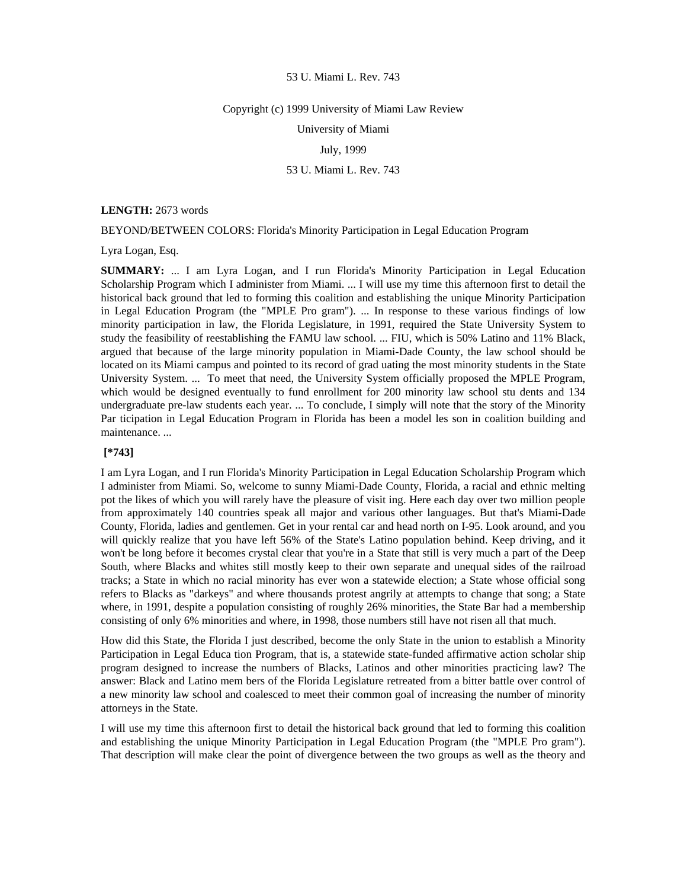#### Copyright (c) 1999 University of Miami Law Review

University of Miami

# July, 1999

# 53 U. Miami L. Rev. 743

**LENGTH:** 2673 words

BEYOND/BETWEEN COLORS: Florida's Minority Participation in Legal Education Program

Lyra Logan, Esq.

**SUMMARY:** ... I am Lyra Logan, and I run Florida's Minority Participation in Legal Education Scholarship Program which I administer from Miami. ... I will use my time this afternoon first to detail the historical back ground that led to forming this coalition and establishing the unique Minority Participation in Legal Education Program (the "MPLE Pro gram"). ... In response to these various findings of low minority participation in law, the Florida Legislature, in 1991, required the State University System to study the feasibility of reestablishing the FAMU law school. ... FIU, which is 50% Latino and 11% Black, argued that because of the large minority population in Miami-Dade County, the law school should be located on its Miami campus and pointed to its record of grad uating the most minority students in the State University System. ... To meet that need, the University System officially proposed the MPLE Program, which would be designed eventually to fund enrollment for 200 minority law school stu dents and 134 undergraduate pre-law students each year. ... To conclude, I simply will note that the story of the Minority Par ticipation in Legal Education Program in Florida has been a model les son in coalition building and maintenance. ...

# **[\*743]**

I am Lyra Logan, and I run Florida's Minority Participation in Legal Education Scholarship Program which I administer from Miami. So, welcome to sunny Miami-Dade County, Florida, a racial and ethnic melting pot the likes of which you will rarely have the pleasure of visit ing. Here each day over two million people from approximately 140 countries speak all major and various other languages. But that's Miami-Dade County, Florida, ladies and gentlemen. Get in your rental car and head north on I-95. Look around, and you will quickly realize that you have left 56% of the State's Latino population behind. Keep driving, and it won't be long before it becomes crystal clear that you're in a State that still is very much a part of the Deep South, where Blacks and whites still mostly keep to their own separate and unequal sides of the railroad tracks; a State in which no racial minority has ever won a statewide election; a State whose official song refers to Blacks as "darkeys" and where thousands protest angrily at attempts to change that song; a State where, in 1991, despite a population consisting of roughly 26% minorities, the State Bar had a membership consisting of only 6% minorities and where, in 1998, those numbers still have not risen all that much.

How did this State, the Florida I just described, become the only State in the union to establish a Minority Participation in Legal Educa tion Program, that is, a statewide state-funded affirmative action scholar ship program designed to increase the numbers of Blacks, Latinos and other minorities practicing law? The answer: Black and Latino mem bers of the Florida Legislature retreated from a bitter battle over control of a new minority law school and coalesced to meet their common goal of increasing the number of minority attorneys in the State.

I will use my time this afternoon first to detail the historical back ground that led to forming this coalition and establishing the unique Minority Participation in Legal Education Program (the "MPLE Pro gram"). That description will make clear the point of divergence between the two groups as well as the theory and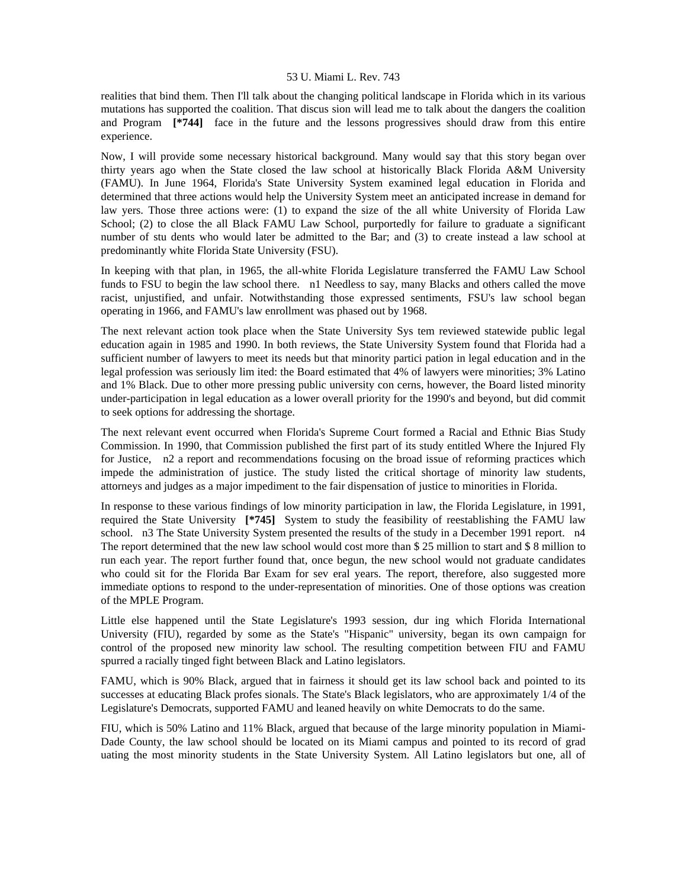realities that bind them. Then I'll talk about the changing political landscape in Florida which in its various mutations has supported the coalition. That discus sion will lead me to talk about the dangers the coalition and Program **[\*744]** face in the future and the lessons progressives should draw from this entire experience.

Now, I will provide some necessary historical background. Many would say that this story began over thirty years ago when the State closed the law school at historically Black Florida A&M University (FAMU). In June 1964, Florida's State University System examined legal education in Florida and determined that three actions would help the University System meet an anticipated increase in demand for law yers. Those three actions were: (1) to expand the size of the all white University of Florida Law School; (2) to close the all Black FAMU Law School, purportedly for failure to graduate a significant number of stu dents who would later be admitted to the Bar; and (3) to create instead a law school at predominantly white Florida State University (FSU).

In keeping with that plan, in 1965, the all-white Florida Legislature transferred the FAMU Law School funds to FSU to begin the law school there. n1 Needless to say, many Blacks and others called the move racist, unjustified, and unfair. Notwithstanding those expressed sentiments, FSU's law school began operating in 1966, and FAMU's law enrollment was phased out by 1968.

The next relevant action took place when the State University Sys tem reviewed statewide public legal education again in 1985 and 1990. In both reviews, the State University System found that Florida had a sufficient number of lawyers to meet its needs but that minority partici pation in legal education and in the legal profession was seriously lim ited: the Board estimated that 4% of lawyers were minorities; 3% Latino and 1% Black. Due to other more pressing public university con cerns, however, the Board listed minority under-participation in legal education as a lower overall priority for the 1990's and beyond, but did commit to seek options for addressing the shortage.

The next relevant event occurred when Florida's Supreme Court formed a Racial and Ethnic Bias Study Commission. In 1990, that Commission published the first part of its study entitled Where the Injured Fly for Justice, n2 a report and recommendations focusing on the broad issue of reforming practices which impede the administration of justice. The study listed the critical shortage of minority law students, attorneys and judges as a major impediment to the fair dispensation of justice to minorities in Florida.

In response to these various findings of low minority participation in law, the Florida Legislature, in 1991, required the State University **[\*745]** System to study the feasibility of reestablishing the FAMU law school. n3 The State University System presented the results of the study in a December 1991 report. n4 The report determined that the new law school would cost more than \$ 25 million to start and \$ 8 million to run each year. The report further found that, once begun, the new school would not graduate candidates who could sit for the Florida Bar Exam for sev eral years. The report, therefore, also suggested more immediate options to respond to the under-representation of minorities. One of those options was creation of the MPLE Program.

Little else happened until the State Legislature's 1993 session, dur ing which Florida International University (FIU), regarded by some as the State's "Hispanic" university, began its own campaign for control of the proposed new minority law school. The resulting competition between FIU and FAMU spurred a racially tinged fight between Black and Latino legislators.

FAMU, which is 90% Black, argued that in fairness it should get its law school back and pointed to its successes at educating Black profes sionals. The State's Black legislators, who are approximately 1/4 of the Legislature's Democrats, supported FAMU and leaned heavily on white Democrats to do the same.

FIU, which is 50% Latino and 11% Black, argued that because of the large minority population in Miami-Dade County, the law school should be located on its Miami campus and pointed to its record of grad uating the most minority students in the State University System. All Latino legislators but one, all of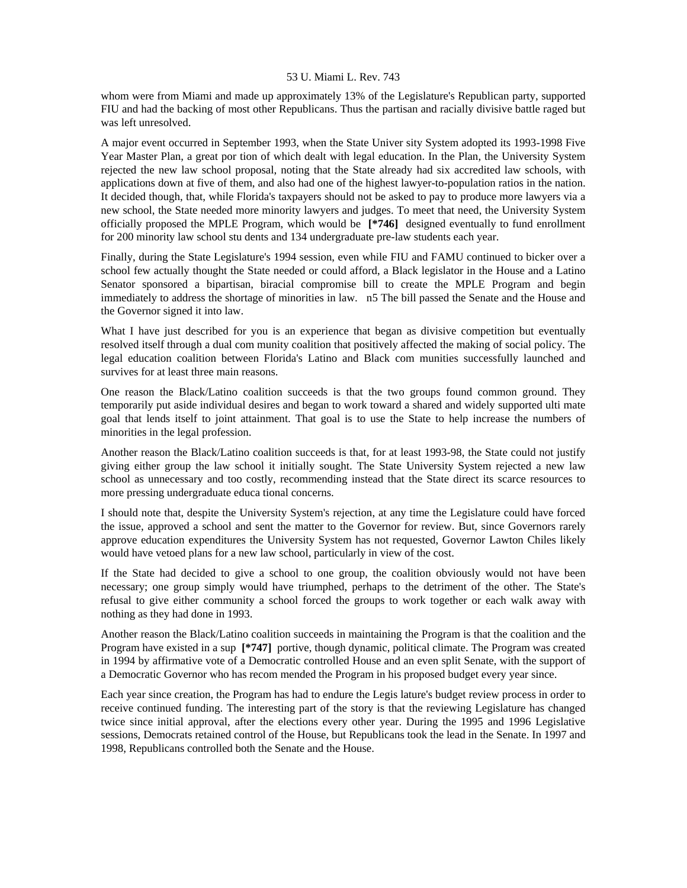whom were from Miami and made up approximately 13% of the Legislature's Republican party, supported FIU and had the backing of most other Republicans. Thus the partisan and racially divisive battle raged but was left unresolved.

A major event occurred in September 1993, when the State Univer sity System adopted its 1993-1998 Five Year Master Plan, a great por tion of which dealt with legal education. In the Plan, the University System rejected the new law school proposal, noting that the State already had six accredited law schools, with applications down at five of them, and also had one of the highest lawyer-to-population ratios in the nation. It decided though, that, while Florida's taxpayers should not be asked to pay to produce more lawyers via a new school, the State needed more minority lawyers and judges. To meet that need, the University System officially proposed the MPLE Program, which would be **[\*746]** designed eventually to fund enrollment for 200 minority law school stu dents and 134 undergraduate pre-law students each year.

Finally, during the State Legislature's 1994 session, even while FIU and FAMU continued to bicker over a school few actually thought the State needed or could afford, a Black legislator in the House and a Latino Senator sponsored a bipartisan, biracial compromise bill to create the MPLE Program and begin immediately to address the shortage of minorities in law. n5 The bill passed the Senate and the House and the Governor signed it into law.

What I have just described for you is an experience that began as divisive competition but eventually resolved itself through a dual com munity coalition that positively affected the making of social policy. The legal education coalition between Florida's Latino and Black com munities successfully launched and survives for at least three main reasons.

One reason the Black/Latino coalition succeeds is that the two groups found common ground. They temporarily put aside individual desires and began to work toward a shared and widely supported ulti mate goal that lends itself to joint attainment. That goal is to use the State to help increase the numbers of minorities in the legal profession.

Another reason the Black/Latino coalition succeeds is that, for at least 1993-98, the State could not justify giving either group the law school it initially sought. The State University System rejected a new law school as unnecessary and too costly, recommending instead that the State direct its scarce resources to more pressing undergraduate educa tional concerns.

I should note that, despite the University System's rejection, at any time the Legislature could have forced the issue, approved a school and sent the matter to the Governor for review. But, since Governors rarely approve education expenditures the University System has not requested, Governor Lawton Chiles likely would have vetoed plans for a new law school, particularly in view of the cost.

If the State had decided to give a school to one group, the coalition obviously would not have been necessary; one group simply would have triumphed, perhaps to the detriment of the other. The State's refusal to give either community a school forced the groups to work together or each walk away with nothing as they had done in 1993.

Another reason the Black/Latino coalition succeeds in maintaining the Program is that the coalition and the Program have existed in a sup **[\*747]** portive, though dynamic, political climate. The Program was created in 1994 by affirmative vote of a Democratic controlled House and an even split Senate, with the support of a Democratic Governor who has recom mended the Program in his proposed budget every year since.

Each year since creation, the Program has had to endure the Legis lature's budget review process in order to receive continued funding. The interesting part of the story is that the reviewing Legislature has changed twice since initial approval, after the elections every other year. During the 1995 and 1996 Legislative sessions, Democrats retained control of the House, but Republicans took the lead in the Senate. In 1997 and 1998, Republicans controlled both the Senate and the House.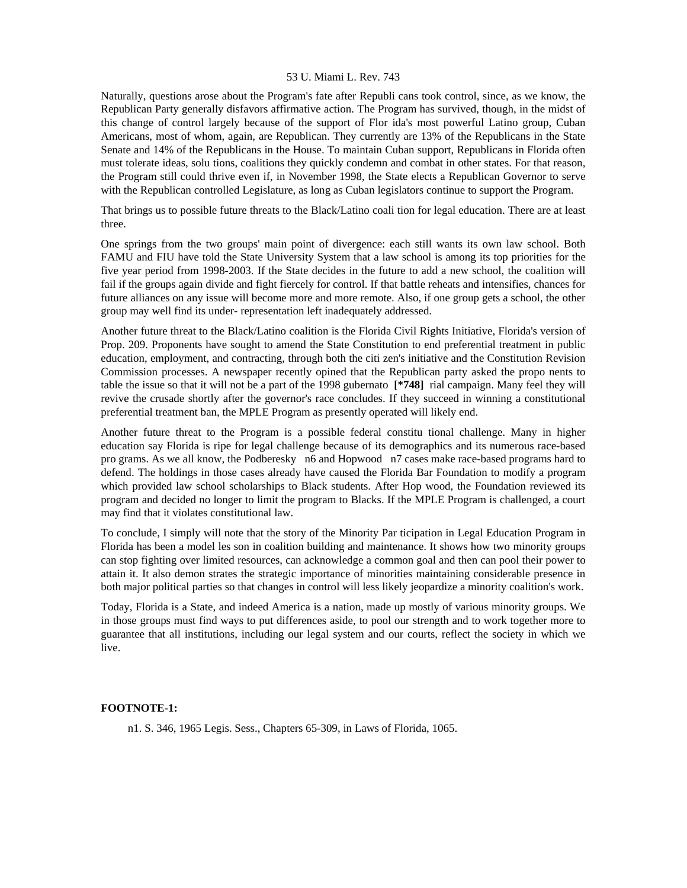Naturally, questions arose about the Program's fate after Republi cans took control, since, as we know, the Republican Party generally disfavors affirmative action. The Program has survived, though, in the midst of this change of control largely because of the support of Flor ida's most powerful Latino group, Cuban Americans, most of whom, again, are Republican. They currently are 13% of the Republicans in the State Senate and 14% of the Republicans in the House. To maintain Cuban support, Republicans in Florida often must tolerate ideas, solu tions, coalitions they quickly condemn and combat in other states. For that reason, the Program still could thrive even if, in November 1998, the State elects a Republican Governor to serve with the Republican controlled Legislature, as long as Cuban legislators continue to support the Program.

That brings us to possible future threats to the Black/Latino coali tion for legal education. There are at least three.

One springs from the two groups' main point of divergence: each still wants its own law school. Both FAMU and FIU have told the State University System that a law school is among its top priorities for the five year period from 1998-2003. If the State decides in the future to add a new school, the coalition will fail if the groups again divide and fight fiercely for control. If that battle reheats and intensifies, chances for future alliances on any issue will become more and more remote. Also, if one group gets a school, the other group may well find its under- representation left inadequately addressed.

Another future threat to the Black/Latino coalition is the Florida Civil Rights Initiative, Florida's version of Prop. 209. Proponents have sought to amend the State Constitution to end preferential treatment in public education, employment, and contracting, through both the citi zen's initiative and the Constitution Revision Commission processes. A newspaper recently opined that the Republican party asked the propo nents to table the issue so that it will not be a part of the 1998 gubernato **[\*748]** rial campaign. Many feel they will revive the crusade shortly after the governor's race concludes. If they succeed in winning a constitutional preferential treatment ban, the MPLE Program as presently operated will likely end.

Another future threat to the Program is a possible federal constitu tional challenge. Many in higher education say Florida is ripe for legal challenge because of its demographics and its numerous race-based pro grams. As we all know, the Podberesky n6 and Hopwood n7 cases make race-based programs hard to defend. The holdings in those cases already have caused the Florida Bar Foundation to modify a program which provided law school scholarships to Black students. After Hop wood, the Foundation reviewed its program and decided no longer to limit the program to Blacks. If the MPLE Program is challenged, a court may find that it violates constitutional law.

To conclude, I simply will note that the story of the Minority Par ticipation in Legal Education Program in Florida has been a model les son in coalition building and maintenance. It shows how two minority groups can stop fighting over limited resources, can acknowledge a common goal and then can pool their power to attain it. It also demon strates the strategic importance of minorities maintaining considerable presence in both major political parties so that changes in control will less likely jeopardize a minority coalition's work.

Today, Florida is a State, and indeed America is a nation, made up mostly of various minority groups. We in those groups must find ways to put differences aside, to pool our strength and to work together more to guarantee that all institutions, including our legal system and our courts, reflect the society in which we live.

### **FOOTNOTE-1:**

n1. S. 346, 1965 Legis. Sess., Chapters 65-309, in Laws of Florida, 1065.